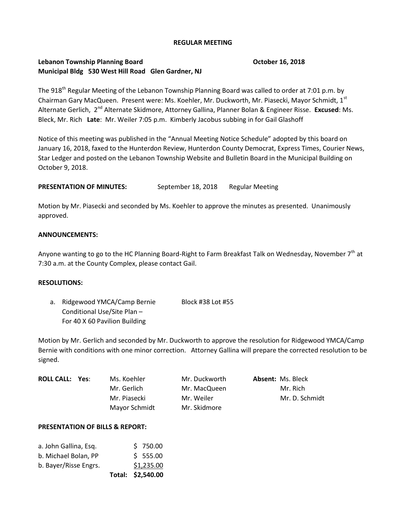#### **REGULAR MEETING**

# **Lebanon Township Planning Board October 16, 2018 Municipal Bldg 530 West Hill Road Glen Gardner, NJ**

The 918<sup>th</sup> Regular Meeting of the Lebanon Township Planning Board was called to order at 7:01 p.m. by Chairman Gary MacQueen. Present were: Ms. Koehler, Mr. Duckworth, Mr. Piasecki, Mayor Schmidt, 1st Alternate Gerlich, 2<sup>nd</sup> Alternate Skidmore, Attorney Gallina, Planner Bolan & Engineer Risse. **Excused**: Ms. Bleck, Mr. Rich **Late**: Mr. Weiler 7:05 p.m. Kimberly Jacobus subbing in for Gail Glashoff

Notice of this meeting was published in the "Annual Meeting Notice Schedule" adopted by this board on January 16, 2018, faxed to the Hunterdon Review, Hunterdon County Democrat, Express Times, Courier News, Star Ledger and posted on the Lebanon Township Website and Bulletin Board in the Municipal Building on October 9, 2018.

**PRESENTATION OF MINUTES:** September 18, 2018 Regular Meeting

Motion by Mr. Piasecki and seconded by Ms. Koehler to approve the minutes as presented. Unanimously approved.

### **ANNOUNCEMENTS:**

Anyone wanting to go to the HC Planning Board-Right to Farm Breakfast Talk on Wednesday, November 7<sup>th</sup> at 7:30 a.m. at the County Complex, please contact Gail.

#### **RESOLUTIONS:**

a. Ridgewood YMCA/Camp Bernie Block #38 Lot #55 Conditional Use/Site Plan – For 40 X 60 Pavilion Building

Motion by Mr. Gerlich and seconded by Mr. Duckworth to approve the resolution for Ridgewood YMCA/Camp Bernie with conditions with one minor correction. Attorney Gallina will prepare the corrected resolution to be signed.

| <b>ROLL CALL: Yes:</b> | Ms. Koehler   | Mr. Duckworth | <b>Absent: Ms. Bleck</b> |
|------------------------|---------------|---------------|--------------------------|
|                        | Mr. Gerlich   | Mr. MacQueen  | Mr. Rich                 |
|                        | Mr. Piasecki  | Mr. Weiler    | Mr. D. Schmidt           |
|                        | Mayor Schmidt | Mr. Skidmore  |                          |

#### **PRESENTATION OF BILLS & REPORT:**

|                       |  | Total: \$2,540.00 |
|-----------------------|--|-------------------|
| b. Bayer/Risse Engrs. |  | \$1,235.00        |
| b. Michael Bolan, PP  |  | \$555.00          |
| a. John Gallina, Esq. |  | \$750.00          |